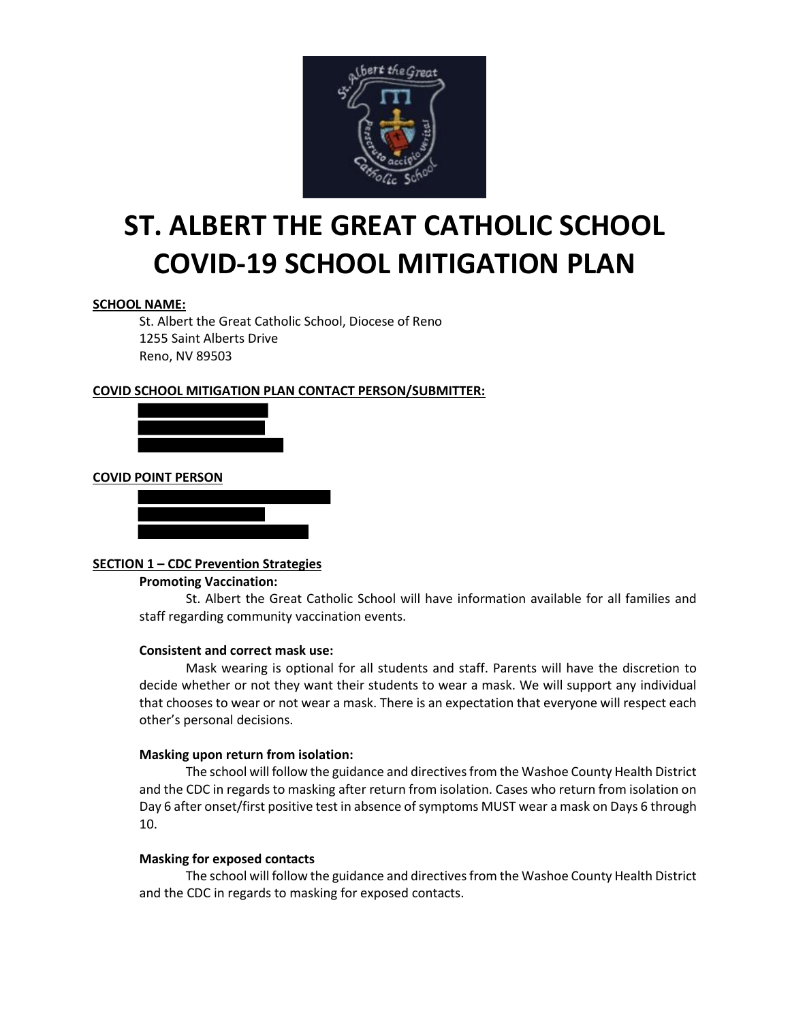

# **ST. ALBERT THE GREAT CATHOLIC SCHOOL COVID-19 SCHOOL MITIGATION PLAN**

## **SCHOOL NAME:**

St. Albert the Great Catholic School, Diocese of Reno 1255 Saint Alberts Drive Reno, NV 89503

### **COVID SCHOOL MITIGATION PLAN CONTACT PERSON/SUBMITTER:**



### **COVID POINT PERSON**

#### **SECTION 1 – CDC Prevention Strategies**

#### **Promoting Vaccination:**

St. Albert the Great Catholic School will have information available for all families and staff regarding community vaccination events.

#### **Consistent and correct mask use:**

Mask wearing is optional for all students and staff. Parents will have the discretion to decide whether or not they want their students to wear a mask. We will support any individual that chooses to wear or not wear a mask. There is an expectation that everyone will respect each other's personal decisions.

#### **Masking upon return from isolation:**

The school will follow the guidance and directives from the Washoe County Health District and the CDC in regards to masking after return from isolation. Cases who return from isolation on Day 6 after onset/first positive test in absence of symptoms MUST wear a mask on Days 6 through 10.

#### **Masking for exposed contacts**

The school will follow the guidance and directives from the Washoe County Health District and the CDC in regards to masking for exposed contacts.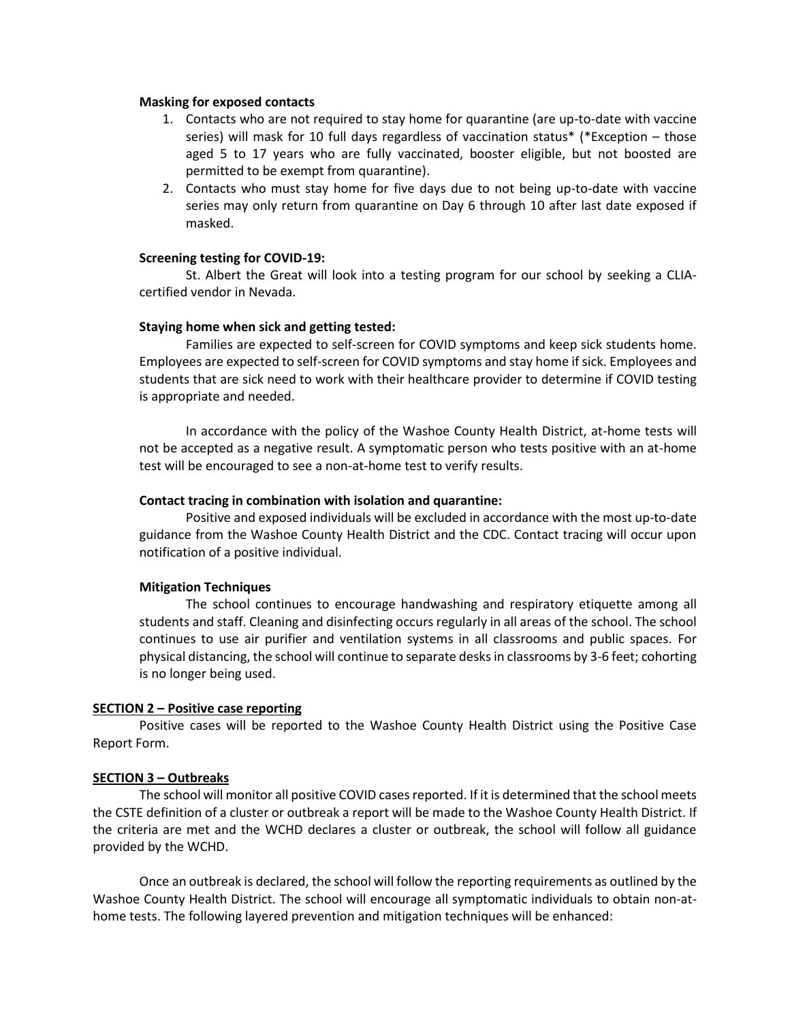#### **Masking for exposed contacts**

- 1. Contacts who are not required to stay home for quarantine (are up-to-date with vaccine series) will mask for 10 full days regardless of vaccination status\* (\*Exception – those aged 5 to 17 years who are fully vaccinated, booster eligible, but not boosted are permitted to be exempt from quarantine).
- 2. Contacts who must stay home for five days due to not being up-to-date with vaccine series may only return from quarantine on Day 6 through 10 after last date exposed if masked.

#### **Screening testing for COVID-19:**

St. Albert the Great will look into a testing program for our school by seeking a CLIAcertified vendor in Nevada.

#### **Staying home when sick and getting tested:**

Families are expected to self-screen for COVID symptoms and keep sick students home. Employees are expected to self-screen for COVID symptoms and stay home if sick. Employees and students that are sick need to work with their healthcare provider to determine if COVID testing is appropriate and needed.

In accordance with the policy of the Washoe County Health District, at-home tests will not be accepted as a negative result. A symptomatic person who tests positive with an at-home test will be encouraged to see a non-at-home test to verify results.

#### **Contact tracing in combination with isolation and quarantine:**

Positive and exposed individuals will be excluded in accordance with the most up-to-date guidance from the Washoe County Health District and the CDC. Contact tracing will occur upon notification of a positive individual.

#### **Mitigation Techniques**

The school continues to encourage handwashing and respiratory etiquette among all students and staff. Cleaning and disinfecting occurs regularly in all areas of the school. The school continues to use air purifier and ventilation systems in all classrooms and public spaces. For physical distancing, the school will continue to separate desks in classrooms by 3-6 feet; cohorting is no longer being used.

#### **SECTION 2 – Positive case reporting**

Positive cases will be reported to the Washoe County Health District using the Positive Case Report Form.

#### **SECTION 3 – Outbreaks**

The school will monitor all positive COVID cases reported. If it is determined that the school meets the CSTE definition of a cluster or outbreak a report will be made to the Washoe County Health District. If the criteria are met and the WCHD declares a cluster or outbreak, the school will follow all guidance provided by the WCHD.

Once an outbreak is declared, the school will follow the reporting requirements as outlined by the Washoe County Health District. The school will encourage all symptomatic individuals to obtain non-athome tests. The following layered prevention and mitigation techniques will be enhanced: